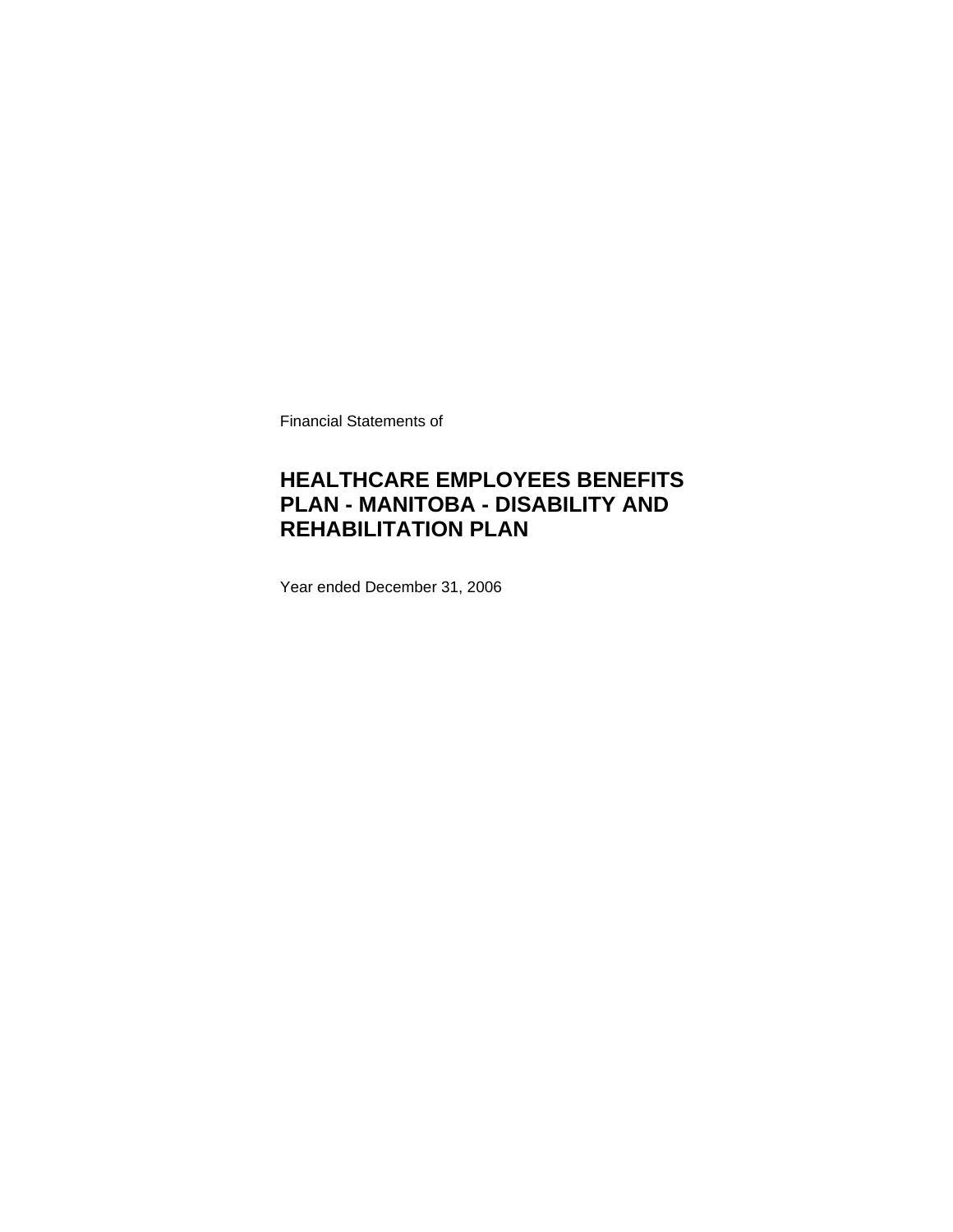Financial Statements of

## **HEALTHCARE EMPLOYEES BENEFITS PLAN - MANITOBA - DISABILITY AND REHABILITATION PLAN**

Year ended December 31, 2006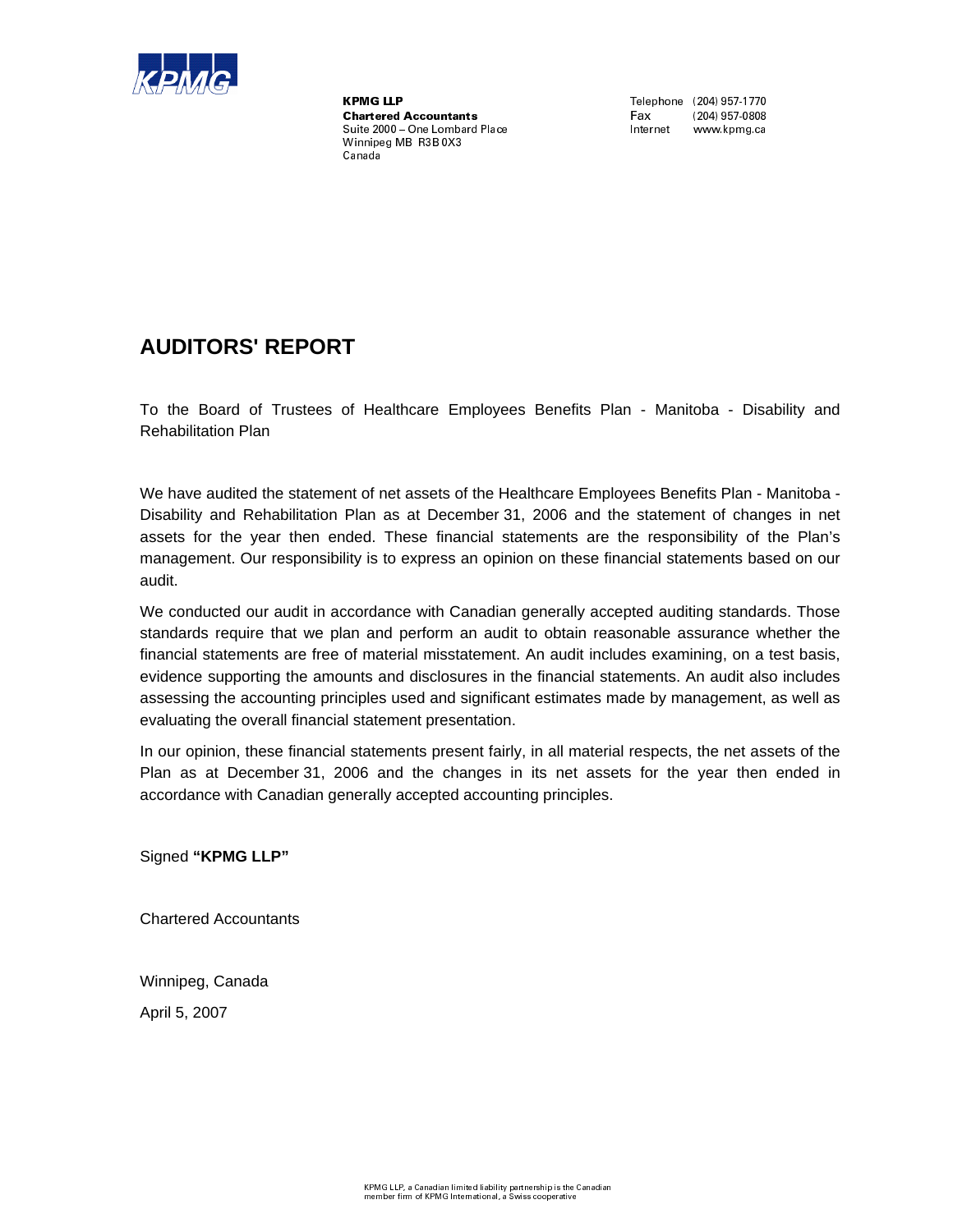

,.-0/2143'3'- 5687 689':\*;<=6?> @=A B'C=D\*E F=G HF=F\*AIJKLM-NL N'O2P#Q'Q'RTSU'M-KU'M-VSuite 2000 - One Lombard Place Winnipeg MB R3B 0X3  $\sim$  for  $\sim$ 

Fax  $\overline{a}$  $(204)$  957-0808 Internet www.kpmg.ca

## **AUDITORS' REPORT**

To the Board of Trustees of Healthcare Employees Benefits Plan - Manitoba - Disability and Rehabilitation Plan

We have audited the statement of net assets of the Healthcare Employees Benefits Plan - Manitoba - Disability and Rehabilitation Plan as at December 31, 2006 and the statement of changes in net assets for the year then ended. These financial statements are the responsibility of the Plan's management. Our responsibility is to express an opinion on these financial statements based on our audit.

We conducted our audit in accordance with Canadian generally accepted auditing standards. Those standards require that we plan and perform an audit to obtain reasonable assurance whether the financial statements are free of material misstatement. An audit includes examining, on a test basis, evidence supporting the amounts and disclosures in the financial statements. An audit also includes assessing the accounting principles used and significant estimates made by management, as well as evaluating the overall financial statement presentation.

In our opinion, these financial statements present fairly, in all material respects, the net assets of the Plan as at December 31, 2006 and the changes in its net assets for the year then ended in accordance with Canadian generally accepted accounting principles.

Signed **"KPMG LLP"**

Chartered Accountants

Winnipeg, Canada

April 5, 2007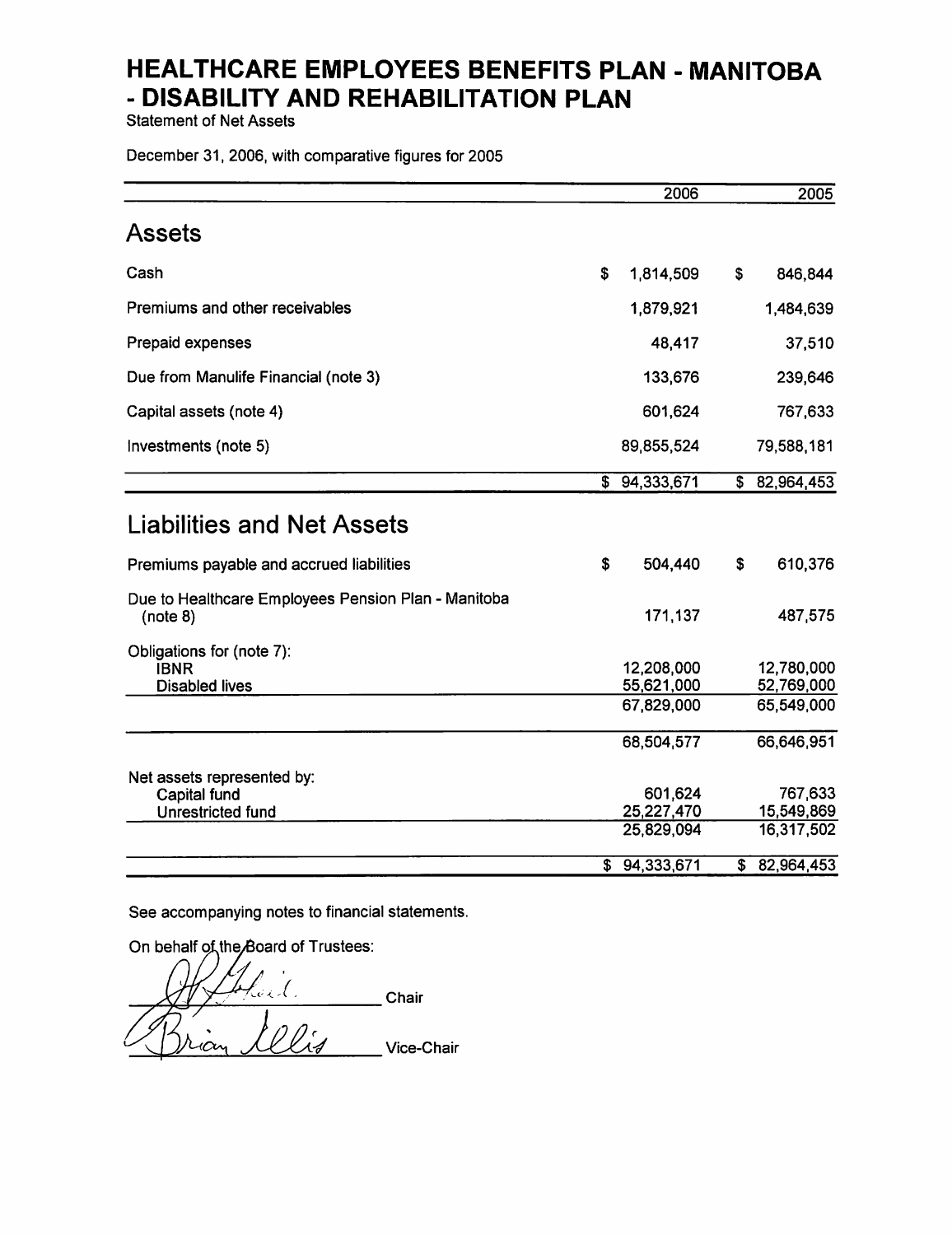**Statement of Net Assets** 

December 31, 2006, with comparative figures for 2005

|                                                                   | 2006                                | 2005                                |
|-------------------------------------------------------------------|-------------------------------------|-------------------------------------|
| <b>Assets</b>                                                     |                                     |                                     |
| Cash                                                              | \$<br>1,814,509                     | \$<br>846,844                       |
| Premiums and other receivables                                    | 1,879,921                           | 1,484,639                           |
| Prepaid expenses                                                  | 48,417                              | 37,510                              |
| Due from Manulife Financial (note 3)                              | 133,676                             | 239,646                             |
| Capital assets (note 4)                                           | 601,624                             | 767,633                             |
| Investments (note 5)                                              | 89,855,524                          | 79,588,181                          |
|                                                                   | \$94,333,671                        | \$ 82,964,453                       |
| <b>Liabilities and Net Assets</b>                                 |                                     |                                     |
| Premiums payable and accrued liabilities                          | \$<br>504,440                       | \$<br>610,376                       |
| Due to Healthcare Employees Pension Plan - Manitoba<br>(note 8)   | 171,137                             | 487,575                             |
| Obligations for (note 7):<br><b>IBNR</b><br><b>Disabled lives</b> | 12,208,000<br>55,621,000            | 12,780,000<br>52,769,000            |
|                                                                   | 67,829,000                          | 65,549,000                          |
|                                                                   | 68,504,577                          | 66,646,951                          |
| Net assets represented by:<br>Capital fund<br>Unrestricted fund   | 601,624<br>25,227,470<br>25,829,094 | 767,633<br>15,549,869<br>16,317,502 |
|                                                                   | \$<br>94,333,671                    | \$<br>82,964,453                    |

See accompanying notes to financial statements.

On behalf of the Board of Trustees:

kaek. **Chair** llis Vice-Chair Ющ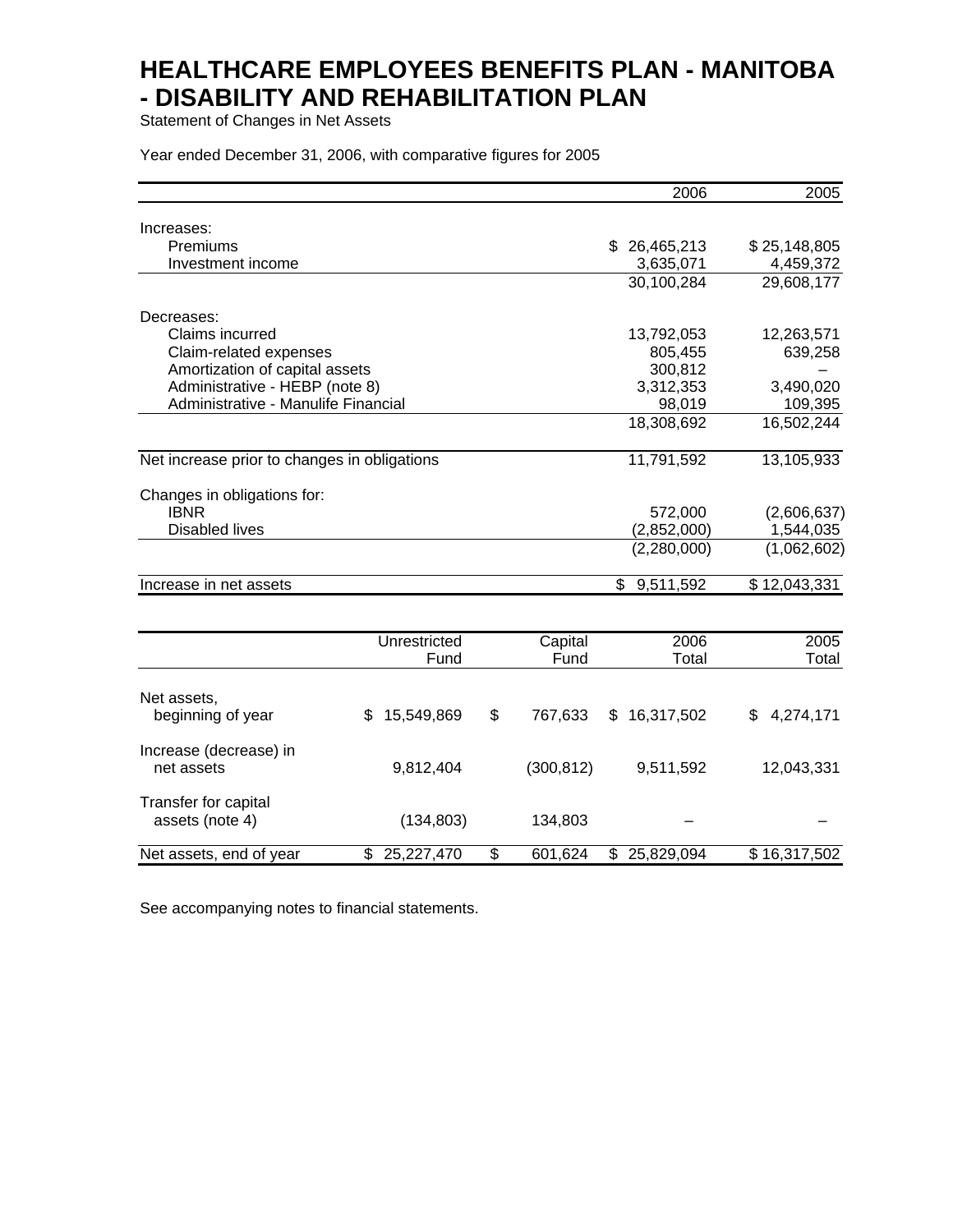Statement of Changes in Net Assets

Year ended December 31, 2006, with comparative figures for 2005

|                                              |                  |               | 2006             | 2005                     |
|----------------------------------------------|------------------|---------------|------------------|--------------------------|
| Increases:                                   |                  |               |                  |                          |
| Premiums                                     |                  |               | \$26,465,213     | \$25,148,805             |
| Investment income                            |                  |               | 3,635,071        | 4,459,372                |
|                                              |                  |               | 30,100,284       | 29,608,177               |
|                                              |                  |               |                  |                          |
| Decreases:                                   |                  |               |                  |                          |
| Claims incurred                              |                  |               | 13,792,053       | 12,263,571               |
| Claim-related expenses                       |                  |               | 805,455          | 639,258                  |
| Amortization of capital assets               |                  |               | 300,812          |                          |
| Administrative - HEBP (note 8)               |                  |               | 3,312,353        | 3,490,020                |
| Administrative - Manulife Financial          |                  |               | 98,019           | 109,395                  |
|                                              |                  |               | 18,308,692       | 16,502,244               |
| Net increase prior to changes in obligations |                  |               | 11,791,592       | 13,105,933               |
|                                              |                  |               |                  |                          |
| Changes in obligations for:                  |                  |               |                  |                          |
| <b>IBNR</b>                                  |                  |               | 572,000          | (2,606,637)              |
| <b>Disabled lives</b>                        |                  |               | (2,852,000)      | 1,544,035                |
|                                              |                  |               | (2,280,000)      | (1,062,602)              |
| Increase in net assets                       |                  |               | 9,511,592<br>\$  | $\overline{$}12,043,331$ |
|                                              |                  |               |                  |                          |
|                                              | Unrestricted     | Capital       | 2006             | 2005                     |
|                                              | Fund             | Fund          | Total            | Total                    |
|                                              |                  |               |                  |                          |
| Net assets,                                  |                  |               |                  |                          |
| beginning of year                            | 15,549,869<br>S. | \$<br>767,633 | 16,317,502<br>\$ | 4,274,171<br>\$          |
| Increase (decrease) in                       |                  |               |                  |                          |
| net assets                                   | 9,812,404        | (300, 812)    | 9,511,592        | 12,043,331               |
| Transfer for capital                         |                  |               |                  |                          |
| assets (note 4)                              | (134, 803)       | 134,803       |                  |                          |
| Net assets, end of year                      | \$<br>25,227,470 | \$<br>601,624 | \$<br>25,829,094 | \$16,317,502             |

See accompanying notes to financial statements.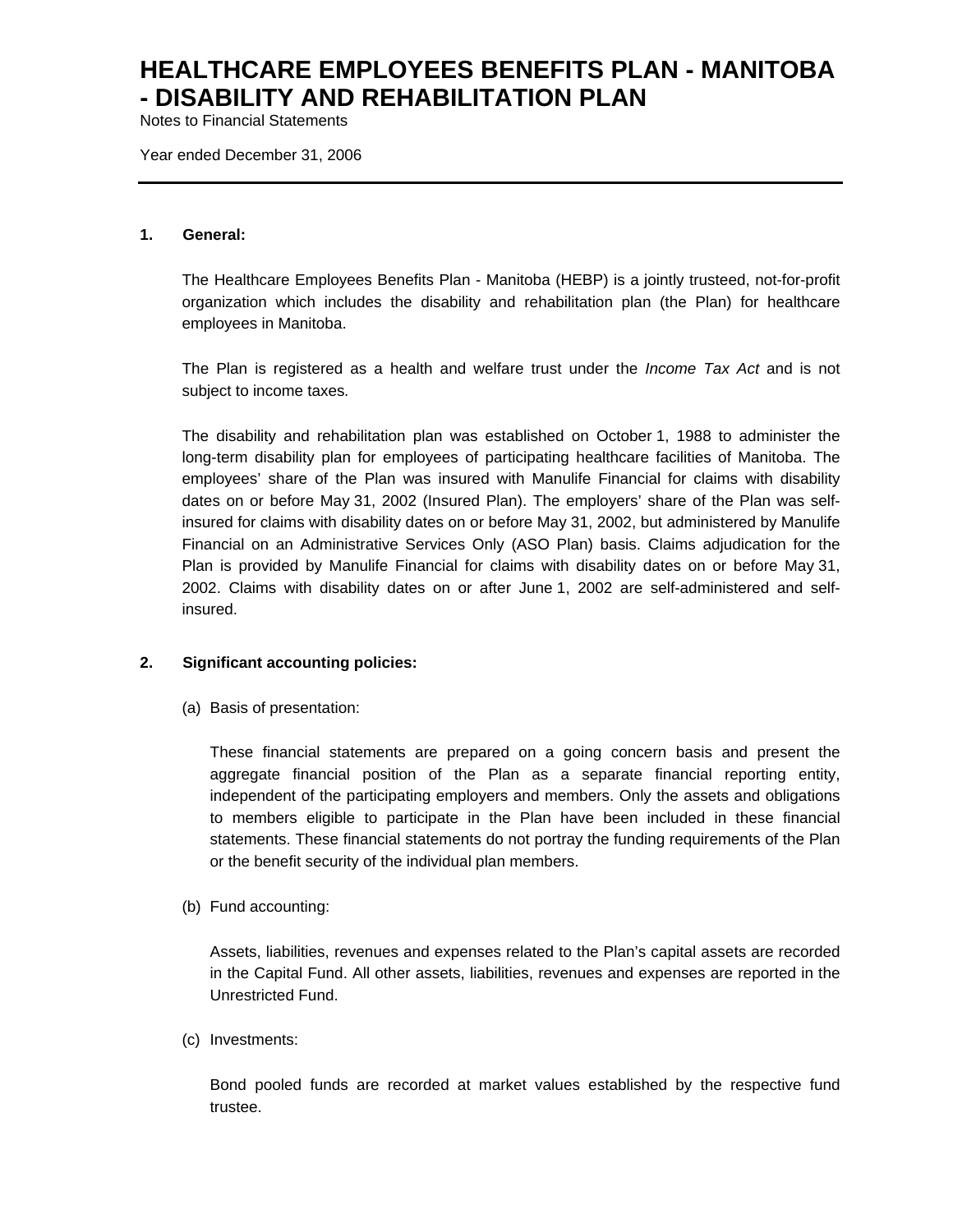Notes to Financial Statements

Year ended December 31, 2006

#### **1. General:**

The Healthcare Employees Benefits Plan - Manitoba (HEBP) is a jointly trusteed, not-for-profit organization which includes the disability and rehabilitation plan (the Plan) for healthcare employees in Manitoba.

The Plan is registered as a health and welfare trust under the *Income Tax Act* and is not subject to income taxes*.*

The disability and rehabilitation plan was established on October 1, 1988 to administer the long-term disability plan for employees of participating healthcare facilities of Manitoba. The employees' share of the Plan was insured with Manulife Financial for claims with disability dates on or before May 31, 2002 (Insured Plan). The employers' share of the Plan was selfinsured for claims with disability dates on or before May 31, 2002, but administered by Manulife Financial on an Administrative Services Only (ASO Plan) basis. Claims adjudication for the Plan is provided by Manulife Financial for claims with disability dates on or before May 31, 2002. Claims with disability dates on or after June 1, 2002 are self-administered and selfinsured.

### **2. Significant accounting policies:**

(a) Basis of presentation:

These financial statements are prepared on a going concern basis and present the aggregate financial position of the Plan as a separate financial reporting entity, independent of the participating employers and members. Only the assets and obligations to members eligible to participate in the Plan have been included in these financial statements. These financial statements do not portray the funding requirements of the Plan or the benefit security of the individual plan members.

(b) Fund accounting:

Assets, liabilities, revenues and expenses related to the Plan's capital assets are recorded in the Capital Fund. All other assets, liabilities, revenues and expenses are reported in the Unrestricted Fund.

#### (c) Investments:

Bond pooled funds are recorded at market values established by the respective fund trustee.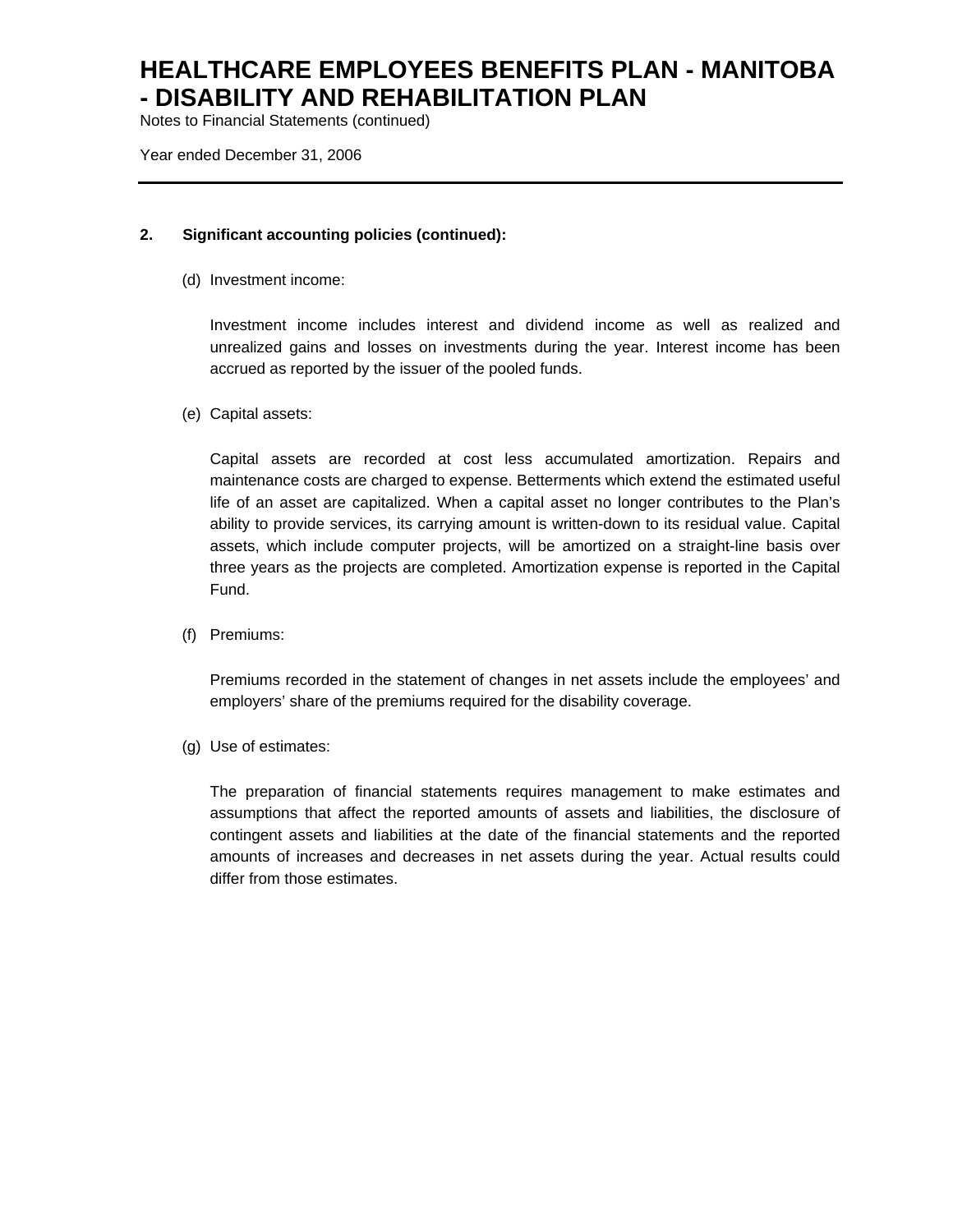Notes to Financial Statements (continued)

Year ended December 31, 2006

### **2. Significant accounting policies (continued):**

(d) Investment income:

Investment income includes interest and dividend income as well as realized and unrealized gains and losses on investments during the year. Interest income has been accrued as reported by the issuer of the pooled funds.

(e) Capital assets:

Capital assets are recorded at cost less accumulated amortization. Repairs and maintenance costs are charged to expense. Betterments which extend the estimated useful life of an asset are capitalized. When a capital asset no longer contributes to the Plan's ability to provide services, its carrying amount is written-down to its residual value. Capital assets, which include computer projects, will be amortized on a straight-line basis over three years as the projects are completed. Amortization expense is reported in the Capital Fund.

(f) Premiums:

Premiums recorded in the statement of changes in net assets include the employees' and employers' share of the premiums required for the disability coverage.

(g) Use of estimates:

The preparation of financial statements requires management to make estimates and assumptions that affect the reported amounts of assets and liabilities, the disclosure of contingent assets and liabilities at the date of the financial statements and the reported amounts of increases and decreases in net assets during the year. Actual results could differ from those estimates.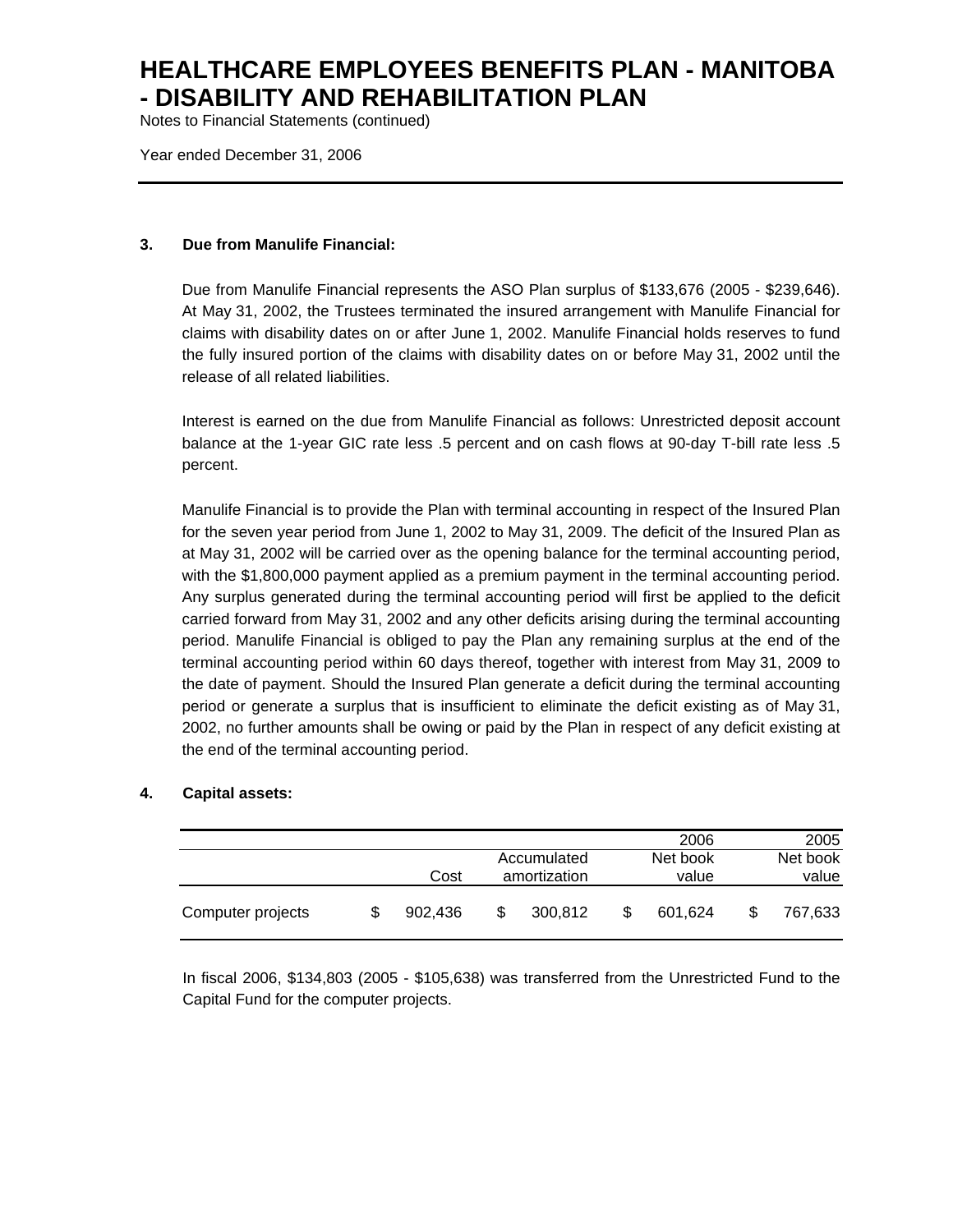Notes to Financial Statements (continued)

Year ended December 31, 2006

### **3. Due from Manulife Financial:**

Due from Manulife Financial represents the ASO Plan surplus of \$133,676 (2005 - \$239,646). At May 31, 2002, the Trustees terminated the insured arrangement with Manulife Financial for claims with disability dates on or after June 1, 2002. Manulife Financial holds reserves to fund the fully insured portion of the claims with disability dates on or before May 31, 2002 until the release of all related liabilities.

Interest is earned on the due from Manulife Financial as follows: Unrestricted deposit account balance at the 1-year GIC rate less .5 percent and on cash flows at 90-day T-bill rate less .5 percent.

Manulife Financial is to provide the Plan with terminal accounting in respect of the Insured Plan for the seven year period from June 1, 2002 to May 31, 2009. The deficit of the Insured Plan as at May 31, 2002 will be carried over as the opening balance for the terminal accounting period, with the \$1,800,000 payment applied as a premium payment in the terminal accounting period. Any surplus generated during the terminal accounting period will first be applied to the deficit carried forward from May 31, 2002 and any other deficits arising during the terminal accounting period. Manulife Financial is obliged to pay the Plan any remaining surplus at the end of the terminal accounting period within 60 days thereof, together with interest from May 31, 2009 to the date of payment. Should the Insured Plan generate a deficit during the terminal accounting period or generate a surplus that is insufficient to eliminate the deficit existing as of May 31, 2002, no further amounts shall be owing or paid by the Plan in respect of any deficit existing at the end of the terminal accounting period.

## **4. Capital assets:**

|                   |         |                             |   | 2006              |                   | 2005    |
|-------------------|---------|-----------------------------|---|-------------------|-------------------|---------|
|                   | Cost    | Accumulated<br>amortization |   | Net book<br>value | Net book<br>value |         |
| Computer projects | 902.436 | \$<br>300.812               | S | 601.624           |                   | 767,633 |

In fiscal 2006, \$134,803 (2005 - \$105,638) was transferred from the Unrestricted Fund to the Capital Fund for the computer projects.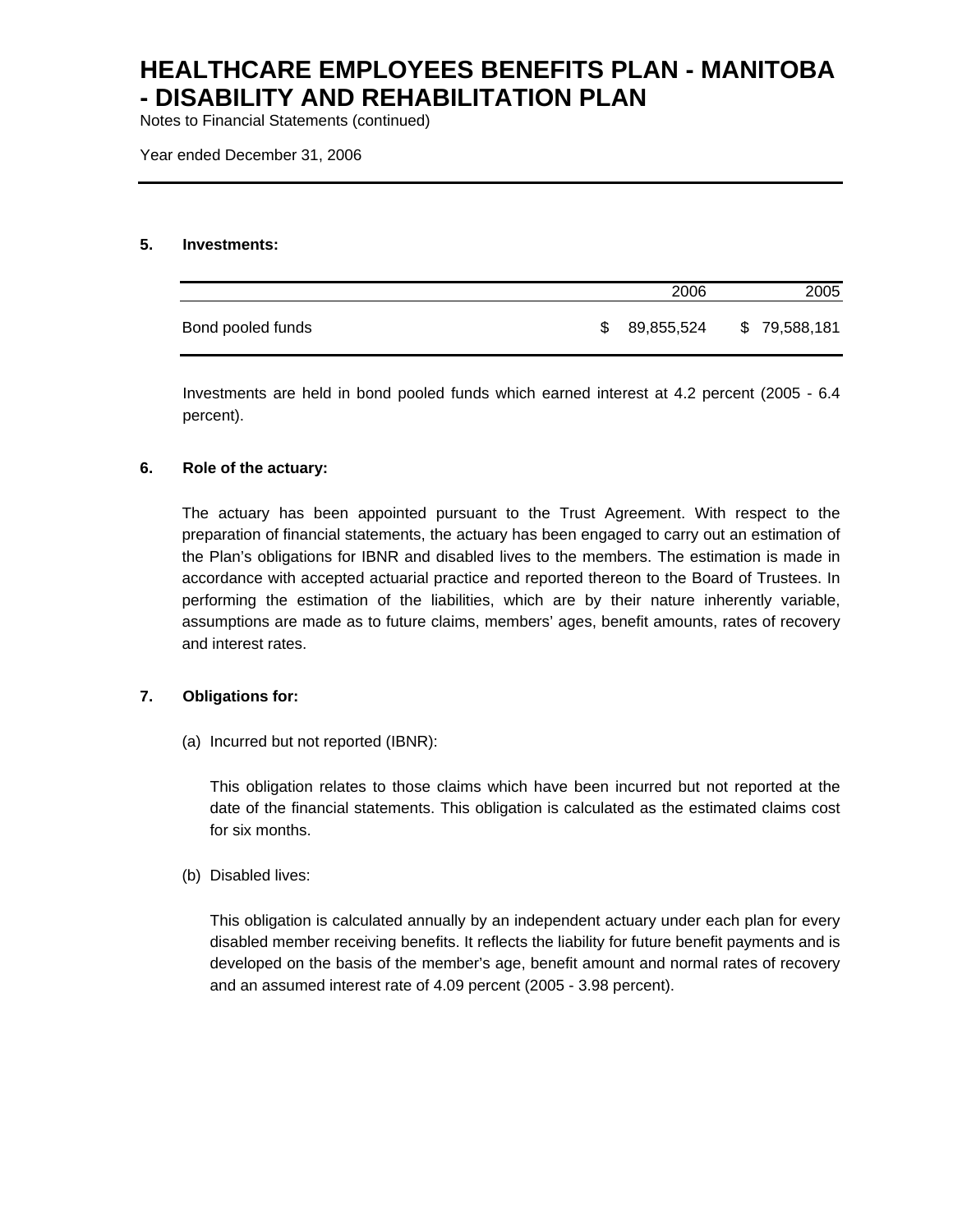Notes to Financial Statements (continued)

Year ended December 31, 2006

### **5. Investments:**

|                   |    | 2006       | 2005         |
|-------------------|----|------------|--------------|
| Bond pooled funds | S. | 89,855,524 | \$79,588,181 |

Investments are held in bond pooled funds which earned interest at 4.2 percent (2005 - 6.4 percent).

## **6. Role of the actuary:**

The actuary has been appointed pursuant to the Trust Agreement. With respect to the preparation of financial statements, the actuary has been engaged to carry out an estimation of the Plan's obligations for IBNR and disabled lives to the members. The estimation is made in accordance with accepted actuarial practice and reported thereon to the Board of Trustees. In performing the estimation of the liabilities, which are by their nature inherently variable, assumptions are made as to future claims, members' ages, benefit amounts, rates of recovery and interest rates.

### **7. Obligations for:**

(a) Incurred but not reported (IBNR):

This obligation relates to those claims which have been incurred but not reported at the date of the financial statements. This obligation is calculated as the estimated claims cost for six months.

(b) Disabled lives:

This obligation is calculated annually by an independent actuary under each plan for every disabled member receiving benefits. It reflects the liability for future benefit payments and is developed on the basis of the member's age, benefit amount and normal rates of recovery and an assumed interest rate of 4.09 percent (2005 - 3.98 percent).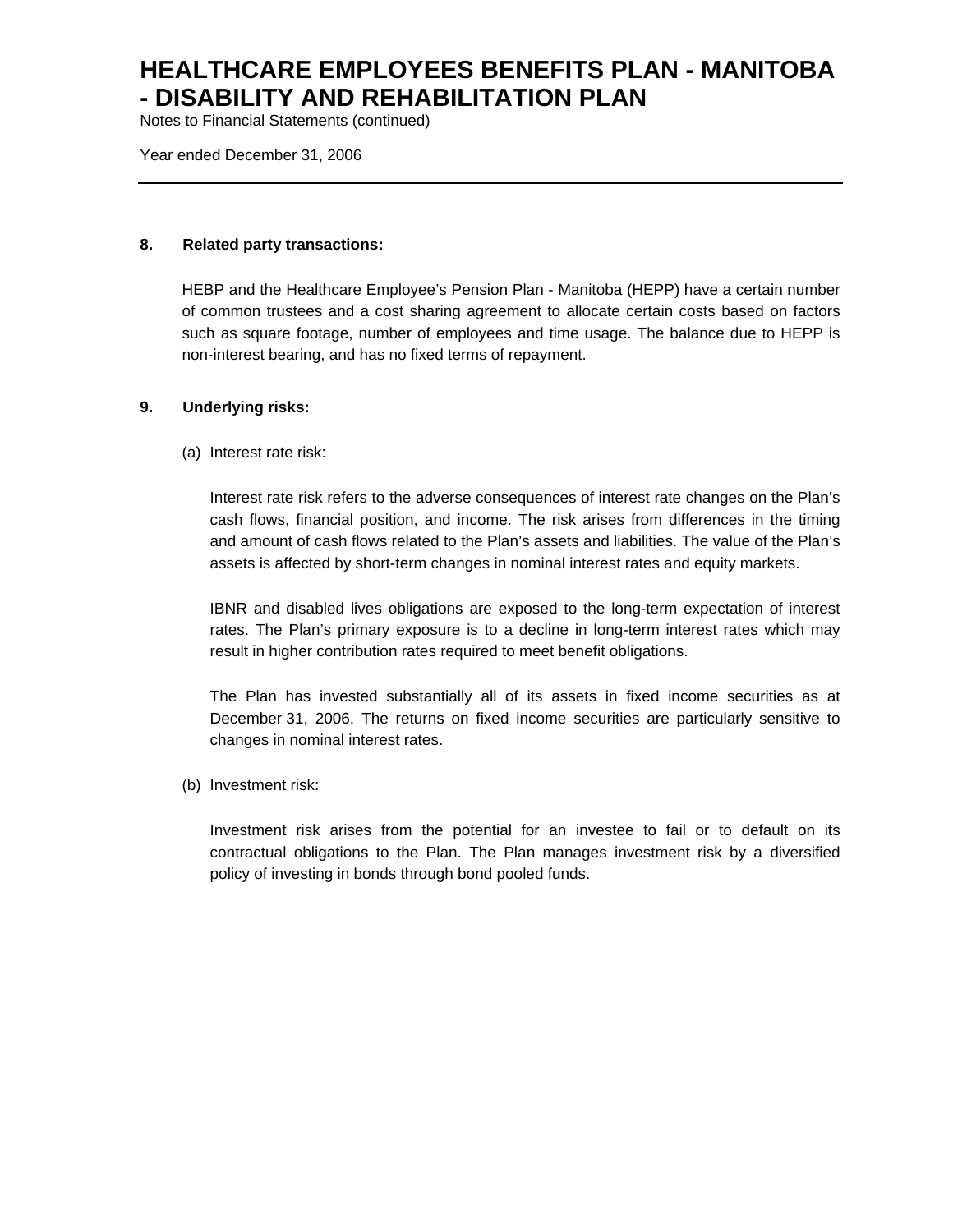Notes to Financial Statements (continued)

Year ended December 31, 2006

### **8. Related party transactions:**

HEBP and the Healthcare Employee's Pension Plan - Manitoba (HEPP) have a certain number of common trustees and a cost sharing agreement to allocate certain costs based on factors such as square footage, number of employees and time usage. The balance due to HEPP is non-interest bearing, and has no fixed terms of repayment.

### **9. Underlying risks:**

(a) Interest rate risk:

Interest rate risk refers to the adverse consequences of interest rate changes on the Plan's cash flows, financial position, and income. The risk arises from differences in the timing and amount of cash flows related to the Plan's assets and liabilities. The value of the Plan's assets is affected by short-term changes in nominal interest rates and equity markets.

IBNR and disabled lives obligations are exposed to the long-term expectation of interest rates. The Plan's primary exposure is to a decline in long-term interest rates which may result in higher contribution rates required to meet benefit obligations.

The Plan has invested substantially all of its assets in fixed income securities as at December 31, 2006. The returns on fixed income securities are particularly sensitive to changes in nominal interest rates.

(b) Investment risk:

Investment risk arises from the potential for an investee to fail or to default on its contractual obligations to the Plan. The Plan manages investment risk by a diversified policy of investing in bonds through bond pooled funds.